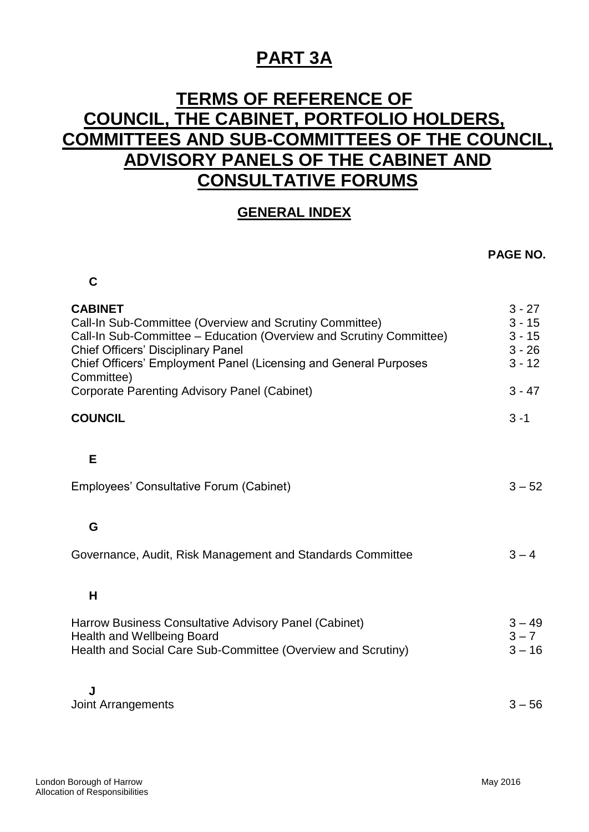# **PART 3A**

## **TERMS OF REFERENCE OF COUNCIL, THE CABINET, PORTFOLIO HOLDERS, COMMITTEES AND SUB-COMMITTEES OF THE COUNCIL, ADVISORY PANELS OF THE CABINET AND CONSULTATIVE FORUMS**

### **GENERAL INDEX**

#### **PAGE NO.**

| <b>CABINET</b><br>Call-In Sub-Committee (Overview and Scrutiny Committee)<br>Call-In Sub-Committee - Education (Overview and Scrutiny Committee)<br><b>Chief Officers' Disciplinary Panel</b><br>Chief Officers' Employment Panel (Licensing and General Purposes<br>Committee)<br><b>Corporate Parenting Advisory Panel (Cabinet)</b> | $3 - 27$<br>$3 - 15$<br>$3 - 15$<br>$3 - 26$<br>$3 - 12$<br>$3 - 47$ |
|----------------------------------------------------------------------------------------------------------------------------------------------------------------------------------------------------------------------------------------------------------------------------------------------------------------------------------------|----------------------------------------------------------------------|
|                                                                                                                                                                                                                                                                                                                                        |                                                                      |
| <b>COUNCIL</b>                                                                                                                                                                                                                                                                                                                         | $3 - 1$                                                              |
| E                                                                                                                                                                                                                                                                                                                                      |                                                                      |
| Employees' Consultative Forum (Cabinet)                                                                                                                                                                                                                                                                                                | $3 - 52$                                                             |
|                                                                                                                                                                                                                                                                                                                                        |                                                                      |
| G                                                                                                                                                                                                                                                                                                                                      |                                                                      |
| Governance, Audit, Risk Management and Standards Committee                                                                                                                                                                                                                                                                             | $3 - 4$                                                              |
|                                                                                                                                                                                                                                                                                                                                        |                                                                      |
| H                                                                                                                                                                                                                                                                                                                                      |                                                                      |
| Harrow Business Consultative Advisory Panel (Cabinet)<br><b>Health and Wellbeing Board</b><br>Health and Social Care Sub-Committee (Overview and Scrutiny)                                                                                                                                                                             | $3 - 49$<br>$3 - 7$<br>$3 - 16$                                      |
| J<br><b>Joint Arrangements</b>                                                                                                                                                                                                                                                                                                         | $3 - 56$                                                             |

**C**